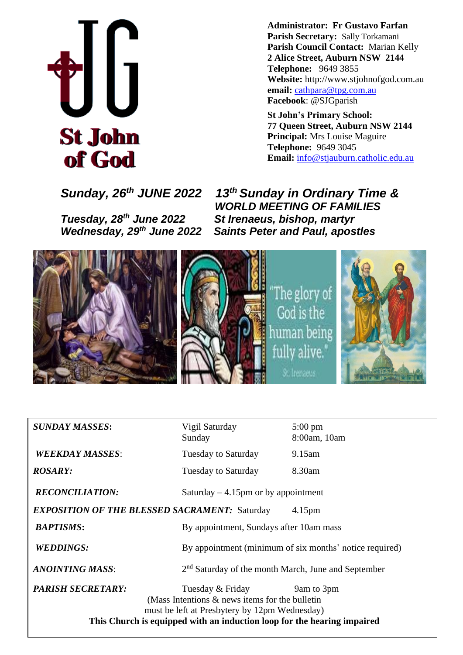

**Administrator: Fr Gustavo Farfan Parish Secretary:** Sally Torkamani **Parish Council Contact:** Marian Kelly **2 Alice Street, Auburn NSW 2144 Telephone:** 9649 3855 **Website:** http://www.stjohnofgod.com.au **email:** [cathpara@tpg.com.au](mailto:cathpara@tpg.com.au)  **Facebook**: @SJGparish

**St John's Primary School: 77 Queen Street, Auburn NSW 2144 Principal:** Mrs Louise Maguire **Telephone:** 9649 3045 **Email:** [info@stjauburn.catholic.edu.au](mailto:info@stjauburn.catholic.edu.au)

*Tuesday, 28*

*Sunday, 26th JUNE 2022 13 th Sunday in Ordinary Time & WORLD MEETING OF FAMILIES th June 2022 St Irenaeus, bishop, martyr Wednesday, 29th June 2022 Saints Peter and Paul, apostles*



| <b>SUNDAY MASSES:</b>                                                      | Vigil Saturday<br>Sunday                                                                                                                                                                          | $5:00 \text{ pm}$<br>8:00am, 10am                       |  |  |
|----------------------------------------------------------------------------|---------------------------------------------------------------------------------------------------------------------------------------------------------------------------------------------------|---------------------------------------------------------|--|--|
| <b>WEEKDAY MASSES:</b>                                                     | <b>Tuesday to Saturday</b>                                                                                                                                                                        | 9.15am                                                  |  |  |
| <b>ROSARY:</b>                                                             | Tuesday to Saturday                                                                                                                                                                               | 8.30am                                                  |  |  |
| <b>RECONCILIATION:</b><br>Saturday $-4.15$ pm or by appointment            |                                                                                                                                                                                                   |                                                         |  |  |
| <b>EXPOSITION OF THE BLESSED SACRAMENT: Saturday</b><br>4.15 <sub>pm</sub> |                                                                                                                                                                                                   |                                                         |  |  |
| <b>BAPTISMS:</b>                                                           | By appointment, Sundays after 10am mass                                                                                                                                                           |                                                         |  |  |
| <b>WEDDINGS:</b>                                                           |                                                                                                                                                                                                   | By appointment (minimum of six months' notice required) |  |  |
| <b>ANOINTING MASS:</b>                                                     | $2nd$ Saturday of the month March, June and September                                                                                                                                             |                                                         |  |  |
| <b>PARISH SECRETARY:</b>                                                   | Tuesday & Friday<br>(Mass Intentions $\&$ news items for the bulletin<br>must be left at Presbytery by 12pm Wednesday)<br>This Church is equipped with an induction loop for the hearing impaired | 9am to 3pm                                              |  |  |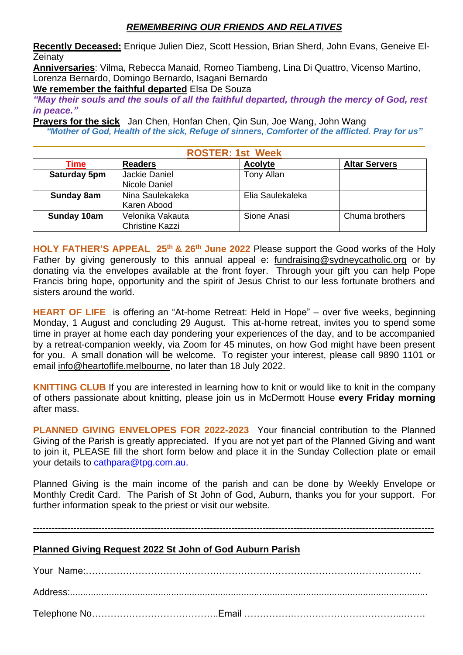## *REMEMBERING OUR FRIENDS AND RELATIVES*

**Recently Deceased:** Enrique Julien Diez, Scott Hession, Brian Sherd, John Evans, Geneive El-**Zeinaty** 

**Anniversaries**: Vilma, Rebecca Manaid, Romeo Tiambeng, Lina Di Quattro, Vicenso Martino, Lorenza Bernardo, Domingo Bernardo, Isagani Bernardo

**We remember the faithful departed** Elsa De Souza

*"May their souls and the souls of all the faithful departed, through the mercy of God, rest in peace."*

**Prayers for the sick** Jan Chen, Honfan Chen, Qin Sun, Joe Wang, John Wang

*"Mother of God, Health of the sick, Refuge of sinners, Comforter of the afflicted. Pray for us"*

| <b>ROSTER: 1st Week</b> |                                            |                  |                      |  |
|-------------------------|--------------------------------------------|------------------|----------------------|--|
| Time                    | <b>Readers</b>                             | <b>Acolyte</b>   | <b>Altar Servers</b> |  |
| Saturday 5pm            | Jackie Daniel<br>Nicole Daniel             | Tony Allan       |                      |  |
| Sunday 8am              | Nina Saulekaleka<br>Karen Abood            | Elia Saulekaleka |                      |  |
| Sunday 10am             | Velonika Vakauta<br><b>Christine Kazzi</b> | Sione Anasi      | Chuma brothers       |  |

HOLY FATHER'S APPEAL 25<sup>th</sup> & 26<sup>th</sup> June 2022 Please support the Good works of the Holy Father by giving generously to this annual appeal e: [fundraising@sydneycatholic.org](mailto:fundraising@sydneycatholic.org) or by donating via the envelopes available at the front foyer.Through your gift you can help Pope Francis bring hope, opportunity and the spirit of Jesus Christ to our less fortunate brothers and sisters around the world.

**HEART OF LIFE** is offering an "At-home Retreat: Held in Hope" – over five weeks, beginning Monday, 1 August and concluding 29 August. This at-home retreat, invites you to spend some time in prayer at home each day pondering your experiences of the day, and to be accompanied by a retreat-companion weekly, via Zoom for 45 minutes, on how God might have been present for you. A small donation will be welcome. To register your interest, please call 9890 1101 or email [info@heartoflife.melbourne,](mailto:info@heartoflife.melbourne) no later than 18 July 2022.

**KNITTING CLUB** If you are interested in learning how to knit or would like to knit in the company of others passionate about knitting, please join us in McDermott House **every Friday morning** after mass.

**PLANNED GIVING ENVELOPES FOR 2022-2023** Your financial contribution to the Planned Giving of the Parish is greatly appreciated. If you are not yet part of the Planned Giving and want to join it, PLEASE fill the short form below and place it in the Sunday Collection plate or email your details to [cathpara@tpg.com.au.](mailto:cathpara@tpg.com.au)

Planned Giving is the main income of the parish and can be done by Weekly Envelope or Monthly Credit Card. The Parish of St John of God, Auburn, thanks you for your support. For further information speak to the priest or visit our website.

**---------------------------------------------------------------------------------------------------------------------------------**

### **Planned Giving Request 2022 St John of God Auburn Parish**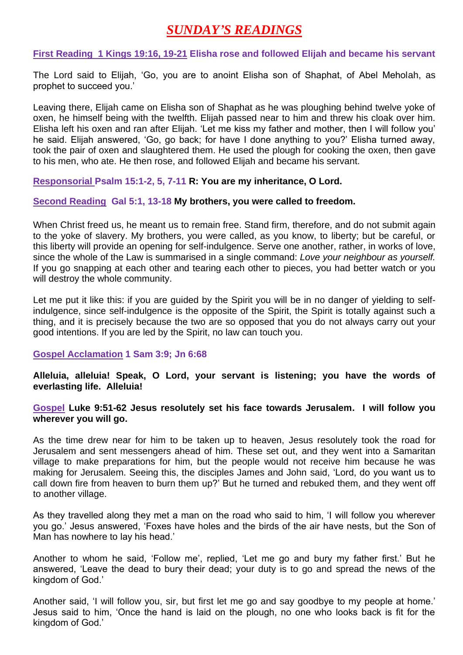# *SUNDAY'S READINGS*

**First Reading 1 Kings 19:16, 19-21 Elisha rose and followed Elijah and became his servant** 

The Lord said to Elijah, 'Go, you are to anoint Elisha son of Shaphat, of Abel Meholah, as prophet to succeed you.'

Leaving there, Elijah came on Elisha son of Shaphat as he was ploughing behind twelve yoke of oxen, he himself being with the twelfth. Elijah passed near to him and threw his cloak over him. Elisha left his oxen and ran after Elijah. 'Let me kiss my father and mother, then I will follow you' he said. Elijah answered, 'Go, go back; for have I done anything to you?' Elisha turned away, took the pair of oxen and slaughtered them. He used the plough for cooking the oxen, then gave to his men, who ate. He then rose, and followed Elijah and became his servant.

**Responsorial Psalm 15:1-2, 5, 7-11 R: You are my inheritance, O Lord.**

#### **Second Reading Gal 5:1, 13-18 My brothers, you were called to freedom.**

When Christ freed us, he meant us to remain free. Stand firm, therefore, and do not submit again to the yoke of slavery. My brothers, you were called, as you know, to liberty; but be careful, or this liberty will provide an opening for self-indulgence. Serve one another, rather, in works of love, since the whole of the Law is summarised in a single command: *Love your neighbour as yourself.* If you go snapping at each other and tearing each other to pieces, you had better watch or you will destroy the whole community.

Let me put it like this: if you are guided by the Spirit you will be in no danger of yielding to selfindulgence, since self-indulgence is the opposite of the Spirit, the Spirit is totally against such a thing, and it is precisely because the two are so opposed that you do not always carry out your good intentions. If you are led by the Spirit, no law can touch you.

#### **Gospel Acclamation 1 Sam 3:9; Jn 6:68**

**Alleluia, alleluia! Speak, O Lord, your servant is listening; you have the words of everlasting life. Alleluia!**

### **Gospel Luke 9:51-62 Jesus resolutely set his face towards Jerusalem. I will follow you wherever you will go.**

As the time drew near for him to be taken up to heaven, Jesus resolutely took the road for Jerusalem and sent messengers ahead of him. These set out, and they went into a Samaritan village to make preparations for him, but the people would not receive him because he was making for Jerusalem. Seeing this, the disciples James and John said, 'Lord, do you want us to call down fire from heaven to burn them up?' But he turned and rebuked them, and they went off to another village.

As they travelled along they met a man on the road who said to him, 'I will follow you wherever you go.' Jesus answered, 'Foxes have holes and the birds of the air have nests, but the Son of Man has nowhere to lay his head.'

Another to whom he said, 'Follow me', replied, 'Let me go and bury my father first.' But he answered, 'Leave the dead to bury their dead; your duty is to go and spread the news of the kingdom of God.'

Another said, 'I will follow you, sir, but first let me go and say goodbye to my people at home.' Jesus said to him, 'Once the hand is laid on the plough, no one who looks back is fit for the kingdom of God.'